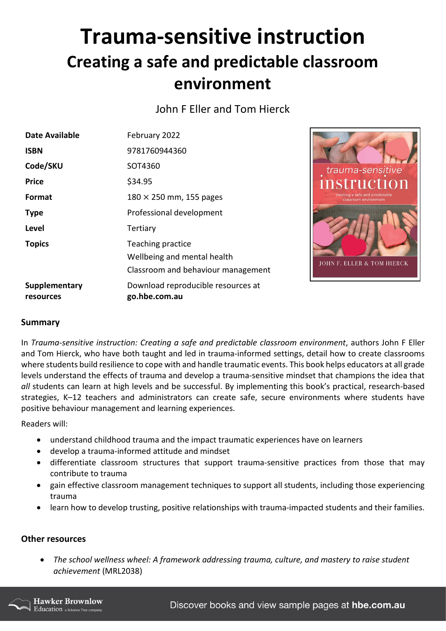## **Trauma-sensitive instruction Creating a safe and predictable classroom environment**

John F Eller and Tom Hierck

| <b>Date Available</b>      | February 2022                                                                          |                  |
|----------------------------|----------------------------------------------------------------------------------------|------------------|
| <b>ISBN</b>                | 9781760944360                                                                          |                  |
| Code/SKU                   | SOT4360                                                                                | traur            |
| <b>Price</b>               | \$34.95                                                                                |                  |
| Format                     | $180 \times 250$ mm, 155 pages                                                         | creatin<br>cla   |
| <b>Type</b>                | Professional development                                                               |                  |
| <b>Level</b>               | Tertiary                                                                               |                  |
| <b>Topics</b>              | Teaching practice<br>Wellbeing and mental health<br>Classroom and behaviour management | <b>JOHN F. E</b> |
| Supplementary<br>resources | Download reproducible resources at<br>go.hbe.com.au                                    |                  |



## **Summary**

In *Trauma-sensitive instruction: Creating a safe and predictable classroom environment*, authors John F Eller and Tom Hierck, who have both taught and led in trauma-informed settings, detail how to create classrooms where students build resilience to cope with and handle traumatic events. This book helps educators at all grade levels understand the effects of trauma and develop a trauma-sensitive mindset that champions the idea that *all* students can learn at high levels and be successful. By implementing this book's practical, research-based strategies, K–12 teachers and administrators can create safe, secure environments where students have positive behaviour management and learning experiences.

Readers will:

- understand childhood trauma and the impact traumatic experiences have on learners
- develop a trauma-informed attitude and mindset
- differentiate classroom structures that support trauma-sensitive practices from those that may contribute to trauma
- gain effective classroom management techniques to support all students, including those experiencing trauma
- learn how to develop trusting, positive relationships with trauma-impacted students and their families.

## **Other resources**

• *The school wellness wheel: A framework addressing trauma, culture, and mastery to raise student achievement* (MRL2038)